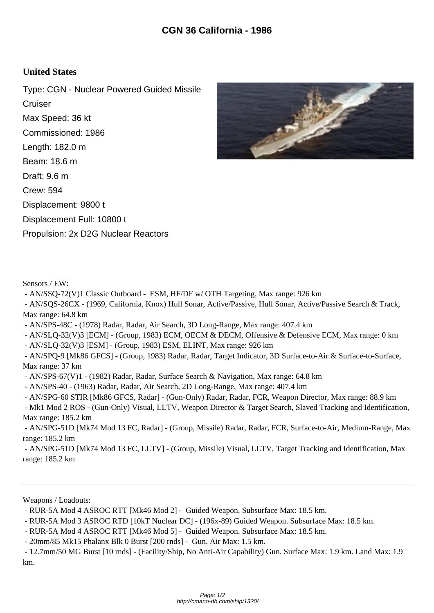## **United States**

Type: CGN - Nuclear Powered Guided Missile **Cruiser** Max Speed: 36 kt Commissioned: 1986 Length: 182.0 m Beam: 18.6 m Draft: 9.6 m Crew: 594 Displacement: 9800 t Displacement Full: 10800 t Propulsion: 2x D2G Nuclear Reactors



Sensors / EW:

- AN/SSQ-72(V)1 Classic Outboard - ESM, HF/DF w/ OTH Targeting, Max range: 926 km

 - AN/SQS-26CX - (1969, California, Knox) Hull Sonar, Active/Passive, Hull Sonar, Active/Passive Search & Track, Max range: 64.8 km

- AN/SPS-48C - (1978) Radar, Radar, Air Search, 3D Long-Range, Max range: 407.4 km

- AN/SLQ-32(V)3 [ECM] - (Group, 1983) ECM, OECM & DECM, Offensive & Defensive ECM, Max range: 0 km

- AN/SLQ-32(V)3 [ESM] - (Group, 1983) ESM, ELINT, Max range: 926 km

 - AN/SPQ-9 [Mk86 GFCS] - (Group, 1983) Radar, Radar, Target Indicator, 3D Surface-to-Air & Surface-to-Surface, Max range: 37 km

- AN/SPS-67(V)1 - (1982) Radar, Radar, Surface Search & Navigation, Max range: 64.8 km

- AN/SPS-40 - (1963) Radar, Radar, Air Search, 2D Long-Range, Max range: 407.4 km

- AN/SPG-60 STIR [Mk86 GFCS, Radar] - (Gun-Only) Radar, Radar, FCR, Weapon Director, Max range: 88.9 km

 - Mk1 Mod 2 ROS - (Gun-Only) Visual, LLTV, Weapon Director & Target Search, Slaved Tracking and Identification, Max range: 185.2 km

 - AN/SPG-51D [Mk74 Mod 13 FC, Radar] - (Group, Missile) Radar, Radar, FCR, Surface-to-Air, Medium-Range, Max range: 185.2 km

 - AN/SPG-51D [Mk74 Mod 13 FC, LLTV] - (Group, Missile) Visual, LLTV, Target Tracking and Identification, Max range: 185.2 km

Weapons / Loadouts:

- RUR-5A Mod 4 ASROC RTT [Mk46 Mod 2] - Guided Weapon. Subsurface Max: 18.5 km.

- RUR-5A Mod 3 ASROC RTD [10kT Nuclear DC] - (196x-89) Guided Weapon. Subsurface Max: 18.5 km.

- RUR-5A Mod 4 ASROC RTT [Mk46 Mod 5] - Guided Weapon. Subsurface Max: 18.5 km.

- 20mm/85 Mk15 Phalanx Blk 0 Burst [200 rnds] - Gun. Air Max: 1.5 km.

 - 12.7mm/50 MG Burst [10 rnds] - (Facility/Ship, No Anti-Air Capability) Gun. Surface Max: 1.9 km. Land Max: 1.9 km.